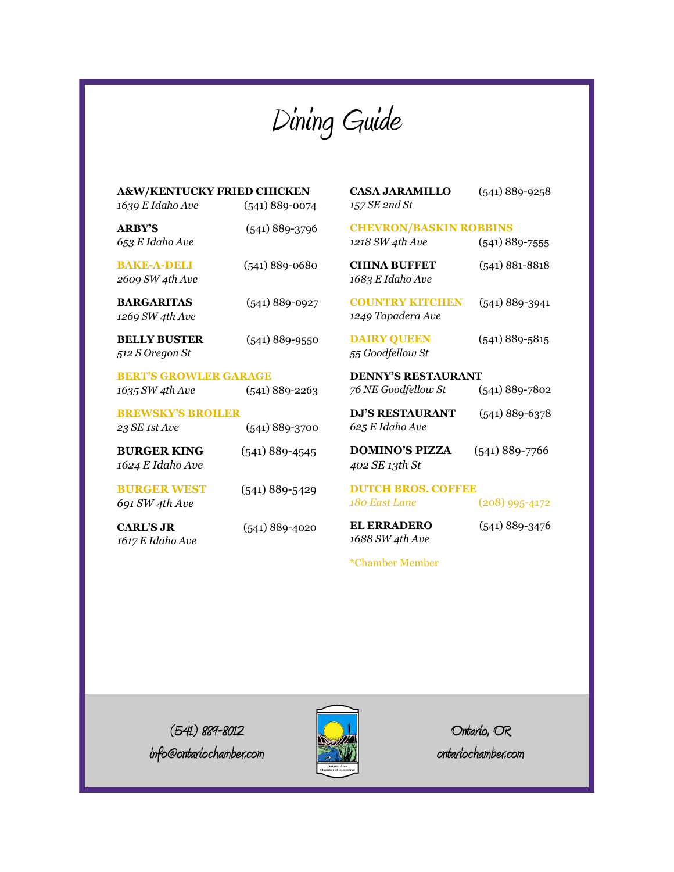Dining Guide

| <b>A&amp;W/KENTUCKY FRIED CHICKEN</b><br>1639 E Idaho Ave     | $(541) 889-0074$   | <b>CASA JARAMILLO</b><br>157 SE 2nd St           | $(541) 889 - 9258$ |
|---------------------------------------------------------------|--------------------|--------------------------------------------------|--------------------|
| <b>ARRY'S</b><br>653 E Idaho Ave                              | $(541)$ 889-3796   | <b>CHEVRON/BASKIN ROBBINS</b><br>1218 SW 4th Ave | $(541)$ 889-7555   |
| <b>BAKE-A-DELI</b><br>2609 SW 4th Ave                         | $(541) 889 - 0680$ | <b>CHINA BUFFET</b><br>1683 E Idaho Ave          | $(541) 881 - 8818$ |
| <b>BARGARITAS</b><br>1269 SW 4th Ave                          | $(541) 889 - 0927$ | <b>COUNTRY KITCHEN</b><br>1249 Tapadera Ave      | $(541)$ 889-3941   |
| <b>BELLY BUSTER</b><br>512 S Oregon St                        | $(541)$ 889-9550   | <b>DAIRY QUEEN</b><br>55 Goodfellow St           | $(541) 889 - 5815$ |
| <b>BERT'S GROWLER GARAGE</b>                                  |                    | <b>DENNY'S RESTAURANT</b>                        |                    |
| 1635 SW 4th Ave                                               | $(541) 889 - 2263$ | 76 NE Goodfellow St                              | $(541) 889 - 7802$ |
| <b>BREWSKY'S BROILER</b><br>23 SE 1st Ave<br>$(541)$ 889-3700 |                    | <b>DJ'S RESTAURANT</b><br>625 E Idaho Ave        | $(541) 889 - 6378$ |
| <b>BURGER KING</b><br>1624 E Idaho Ave                        | $(541)$ 889-4545   | <b>DOMINO'S PIZZA</b><br>402 SE 13th St          | $(541) 889 - 7766$ |
| <b>BURGER WEST</b><br>691 SW 4th Ave                          | $(541)$ 889-5429   | <b>DUTCH BROS. COFFEE</b><br>180 East Lane       | $(208)$ 995-4172   |
| <b>CARL'S JR</b><br>1617 E Idaho Ave                          | $(541)$ 889-4020   | <b>EL ERRADERO</b><br>1688 SW 4th Ave            | $(541)$ 889-3476   |
|                                                               |                    | <i>*</i> Chamber Member                          |                    |

**(541) 889-8012 info@ontariochamber.com**



**Ontario, OR ontariochamber.com**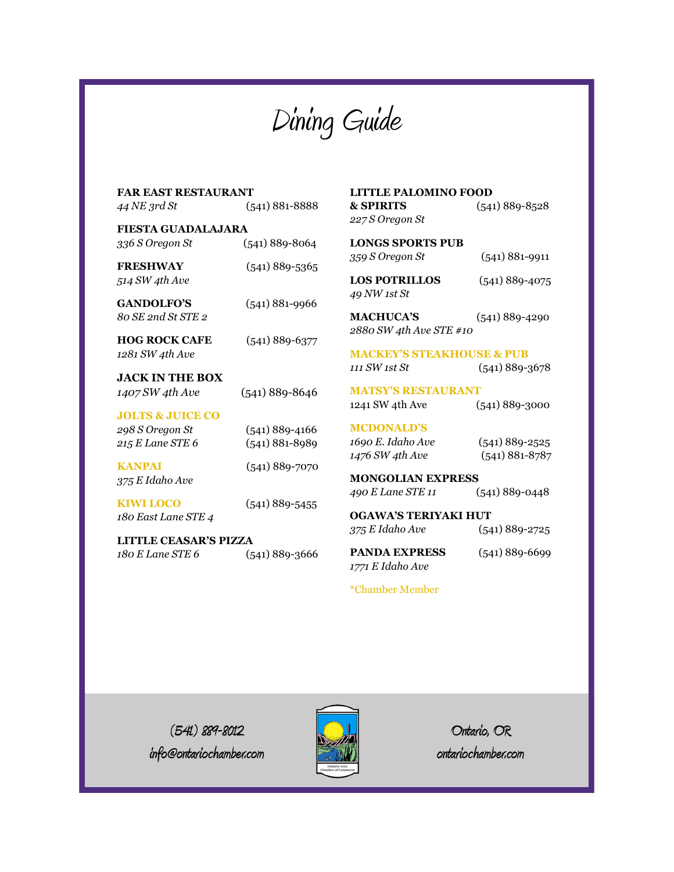Dining Guide

| FAR EAST RESTAURANT          |                    |                                      | <b>LITTLE PALOMINO FOOD</b> |  |
|------------------------------|--------------------|--------------------------------------|-----------------------------|--|
| 44 NE 3rd St                 | $(541) 881 - 8888$ | <b>&amp; SPIRITS</b>                 | $(541) 889 - 8528$          |  |
|                              |                    | 227 S Oregon St                      |                             |  |
| FIESTA GUADALAJARA           |                    |                                      |                             |  |
| 336 S Oregon St              | $(541) 889 - 8064$ | <b>LONGS SPORTS PUB</b>              |                             |  |
|                              |                    | 359 S Oregon St                      | $(541) 881 - 9911$          |  |
| <b>FRESHWAY</b>              | $(541)$ 889-5365   |                                      |                             |  |
| 514 SW 4th Ave               |                    | <b>LOS POTRILLOS</b>                 | $(541)$ 889-4075            |  |
|                              |                    | 49 NW 1st St                         |                             |  |
| <b>GANDOLFO'S</b>            | $(541) 881 - 9966$ |                                      |                             |  |
| 80 SE 2nd St STE 2           |                    | <b>MACHUCA'S</b>                     | $(541)$ 889-4290            |  |
|                              |                    | 2880 SW 4th Ave STE #10              |                             |  |
| <b>HOG ROCK CAFE</b>         | $(541) 889 - 6377$ |                                      |                             |  |
| 1281 SW 4th Ave              |                    | <b>MACKEY'S STEAKHOUSE &amp; PUB</b> |                             |  |
|                              |                    | 111 SW 1st St                        | $(541) 889 - 3678$          |  |
| <b>JACK IN THE BOX</b>       |                    |                                      |                             |  |
| 1407 SW 4th Ave              | $(541)$ 889-8646   | <b>MATSY'S RESTAURANT</b>            |                             |  |
|                              |                    | 1241 SW 4th Ave                      | $(541)$ 889-3000            |  |
| <b>JOLTS &amp; JUICE CO</b>  |                    | <b>MCDONALD'S</b>                    |                             |  |
| 298 S Oregon St              | $(541)$ 889-4166   |                                      |                             |  |
| 215 E Lane STE 6             | $(541) 881 - 8989$ | 1690 E. Idaho Ave                    | $(541)$ 889-2525            |  |
|                              |                    | 1476 SW 4th Ave                      | $(541) 881 - 8787$          |  |
| <b>KANPAI</b>                | $(541) 889 - 7070$ |                                      |                             |  |
| 375 E Idaho Ave              |                    |                                      | <b>MONGOLIAN EXPRESS</b>    |  |
| <b>KIWI LOCO</b>             | $(541)$ 889-5455   | 490 E Lane STE 11                    | $(541) 889 - 0448$          |  |
|                              |                    | <b>OGAWA'S TERIYAKI HUT</b>          |                             |  |
| 180 East Lane STE 4          |                    |                                      |                             |  |
| <b>LITTLE CEASAR'S PIZZA</b> |                    | 375 E Idaho Ave                      | $(541)$ 889-2725            |  |
| 180 E Lane STE 6             |                    | <b>PANDA EXPRESS</b>                 | $(541) 889 - 6699$          |  |
|                              | $(541)$ 889-3666   | 1771 E Idaho Ave                     |                             |  |
|                              |                    |                                      |                             |  |
|                              |                    |                                      |                             |  |

\*Chamber Member

**(541) 889-8012 info@ontariochamber.com**



**Ontario, OR ontariochamber.com**